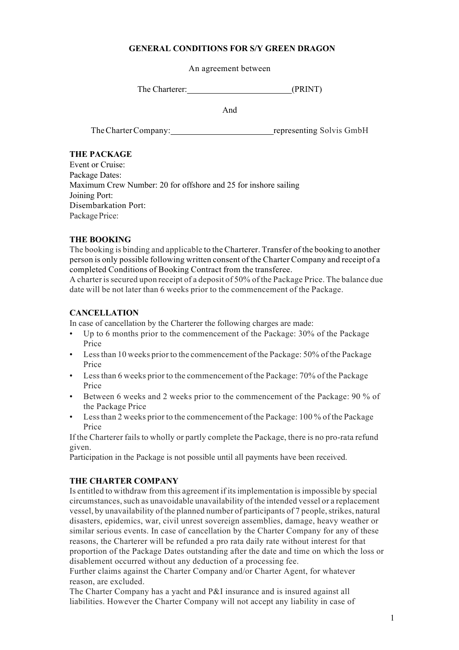#### **GENERAL CONDITIONS FOR S/Y GREEN DRAGON**

An agreement between

The Charterer: (PRINT)

And

The Charter Company: representing Solvis GmbH

#### **THE PACKAGE**

Event or Cruise: Package Dates: Maximum Crew Number: 20 for offshore and 25 for inshore sailing Joining Port: Disembarkation Port: Package Price:

## **THE BOOKING**

The booking is binding and applicable to the Charterer. Transfer of the booking to another person is only possible following written consent of the Charter Company and receipt of a completed Conditions of Booking Contract from the transferee.

A charter issecured upon receipt of a deposit of 50% of the Package Price. The balance due date will be not later than 6 weeks prior to the commencement of the Package.

#### **CANCELLATION**

In case of cancellation by the Charterer the following charges are made:

- Up to 6 months prior to the commencement of the Package: 30% of the Package Price
- Lessthan 10 weeks prior to the commencement of the Package: 50% of the Package Price
- Lessthan 6 weeks prior to the commencement of the Package: 70% of the Package Price
- Between 6 weeks and 2 weeks prior to the commencement of the Package: 90 % of the Package Price
- Lessthan 2 weeks prior to the commencement of the Package: 100 % of the Package Price

If the Charterer fails to wholly or partly complete the Package, there is no pro-rata refund given.

Participation in the Package is not possible until all payments have been received.

## **THE CHARTER COMPANY**

Is entitled to withdraw from this agreement if itsimplementation isimpossible by special circumstances, such as unavoidable unavailability of the intended vessel or a replacement vessel, by unavailability of the planned number of participants of 7 people, strikes, natural disasters, epidemics, war, civil unrest sovereign assemblies, damage, heavy weather or similar serious events. In case of cancellation by the Charter Company for any of these reasons, the Charterer will be refunded a pro rata daily rate without interest for that proportion of the Package Dates outstanding after the date and time on which the loss or disablement occurred without any deduction of a processing fee.

Further claims against the Charter Company and/or Charter Agent, for whatever reason, are excluded.

The Charter Company has a yacht and P&I insurance and is insured against all liabilities. However the Charter Company will not accept any liability in case of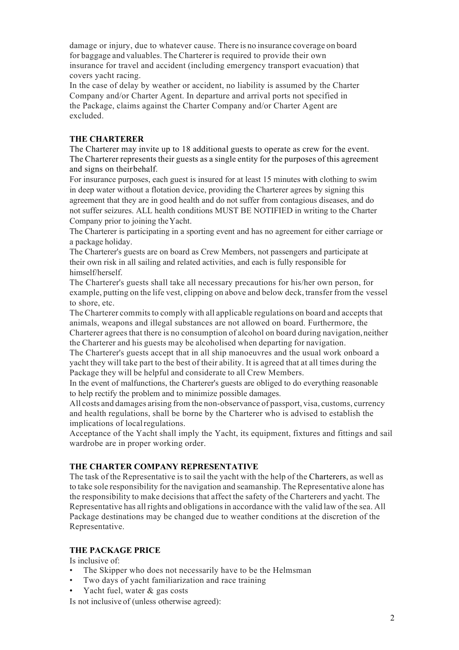damage or injury, due to whatever cause. There is no insurance coverage on board for baggage and valuables. The Charterer is required to provide their own insurance for travel and accident (including emergency transport evacuation) that covers yacht racing.

In the case of delay by weather or accident, no liability is assumed by the Charter Company and/or Charter Agent. In departure and arrival ports not specified in the Package, claims against the Charter Company and/or Charter Agent are excluded.

#### **THE CHARTERER**

The Charterer may invite up to 18 additional guests to operate as crew for the event. The Charterer represents their guests as a single entity for the purposes of this agreement and signs on theirbehalf.

For insurance purposes, each guest is insured for at least 15 minutes with clothing to swim in deep water without a flotation device, providing the Charterer agrees by signing this agreement that they are in good health and do not suffer from contagious diseases, and do not suffer seizures. ALL health conditions MUST BE NOTIFIED in writing to the Charter Company prior to joining theYacht.

The Charterer is participating in a sporting event and has no agreement for either carriage or a package holiday.

The Charterer's guests are on board as Crew Members, not passengers and participate at their own risk in all sailing and related activities, and each is fully responsible for himself/herself.

The Charterer's guests shall take all necessary precautions for his/her own person, for example, putting on the life vest, clipping on above and below deck, transfer from the vessel to shore, etc.

The Charterer commits to comply with all applicable regulations on board and accepts that animals, weapons and illegal substances are not allowed on board. Furthermore, the Charterer agrees that there is no consumption of alcohol on board during navigation, neither the Charterer and his guests may be alcoholised when departing for navigation.

The Charterer's guests accept that in all ship manoeuvres and the usual work onboard a yacht they will take part to the best of their ability. It is agreed that at all times during the Package they will be helpful and considerate to all Crew Members.

In the event of malfunctions, the Charterer's guests are obliged to do everything reasonable to help rectify the problem and to minimize possible damages.

All costs and damages arising from the non-observance of passport, visa, customs, currency and health regulations, shall be borne by the Charterer who is advised to establish the implications of localregulations.

Acceptance of the Yacht shall imply the Yacht, its equipment, fixtures and fittings and sail wardrobe are in proper working order.

## **THE CHARTER COMPANY REPRESENTATIVE**

The task of the Representative is to sail the yacht with the help of the Charterers, as well as to take sole responsibility for the navigation and seamanship. The Representative alone has the responsibility to make decisions that affect the safety of the Charterers and yacht. The Representative has all rights and obligationsin accordance with the valid law of the sea. All Package destinations may be changed due to weather conditions at the discretion of the Representative.

## **THE PACKAGE PRICE**

Is inclusive of:

- The Skipper who does not necessarily have to be the Helmsman
- Two days of yacht familiarization and race training
- Yacht fuel, water & gas costs

Is not inclusive of (unless otherwise agreed):